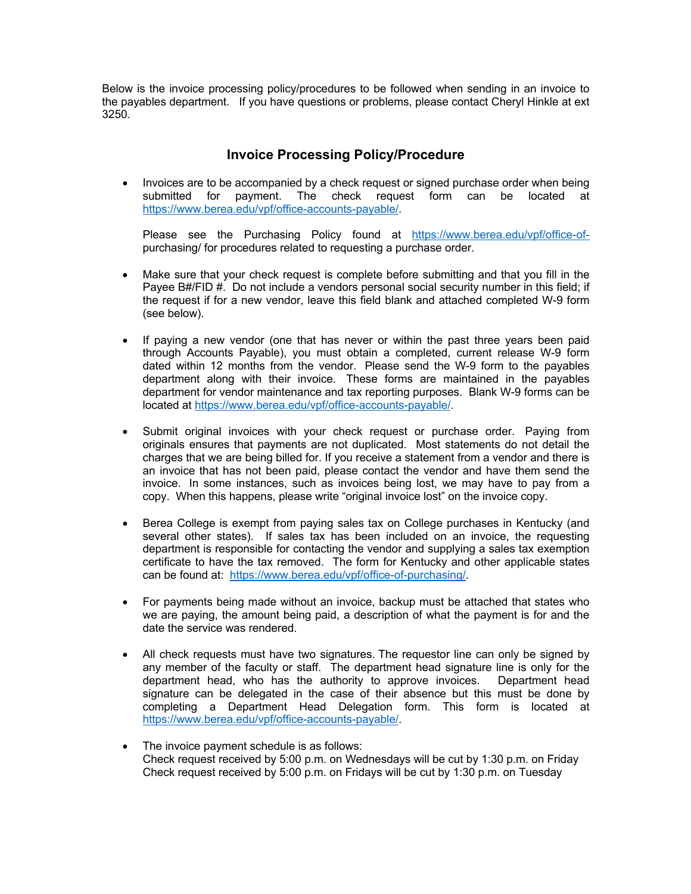Below is the invoice processing policy/procedures to be followed when sending in an invoice to the payables department. If you have questions or problems, please contact Cheryl Hinkle at ext 3250.

## **Invoice Processing Policy/Procedure**

• Invoices are to be accompanied by a check request or signed purchase order when being submitted for payment. The check request form can be located at https://www.berea.edu/vpf/office-accounts-payable/.

Please see the Purchasing Policy found at https://www.berea.edu/vpf/office-ofpurchasing/ for procedures related to requesting a purchase order.

- Make sure that your check request is complete before submitting and that you fill in the Payee B#/FID #. Do not include a vendors personal social security number in this field; if the request if for a new vendor, leave this field blank and attached completed W-9 form (see below).
- If paying a new vendor (one that has never or within the past three years been paid through Accounts Payable), you must obtain a completed, current release W-9 form dated within 12 months from the vendor. Please send the W-9 form to the payables department along with their invoice. These forms are maintained in the payables department for vendor maintenance and tax reporting purposes. Blank W-9 forms can be located at https://www.berea.edu/vpf/office-accounts-payable/.
- Submit original invoices with your check request or purchase order. Paying from originals ensures that payments are not duplicated. Most statements do not detail the charges that we are being billed for. If you receive a statement from a vendor and there is an invoice that has not been paid, please contact the vendor and have them send the invoice. In some instances, such as invoices being lost, we may have to pay from a copy. When this happens, please write "original invoice lost" on the invoice copy.
- Berea College is exempt from paying sales tax on College purchases in Kentucky (and several other states). If sales tax has been included on an invoice, the requesting department is responsible for contacting the vendor and supplying a sales tax exemption certificate to have the tax removed. The form for Kentucky and other applicable states can be found at: https://www.berea.edu/vpf/office-of-purchasing/.
- For payments being made without an invoice, backup must be attached that states who we are paying, the amount being paid, a description of what the payment is for and the date the service was rendered.
- All check requests must have two signatures. The requestor line can only be signed by any member of the faculty or staff. The department head signature line is only for the department head, who has the authority to approve invoices. Department head signature can be delegated in the case of their absence but this must be done by completing a Department Head Delegation form. This form is located at https://www.berea.edu/vpf/office-accounts-payable/.
- The invoice payment schedule is as follows: Check request received by 5:00 p.m. on Wednesdays will be cut by 1:30 p.m. on Friday Check request received by 5:00 p.m. on Fridays will be cut by 1:30 p.m. on Tuesday